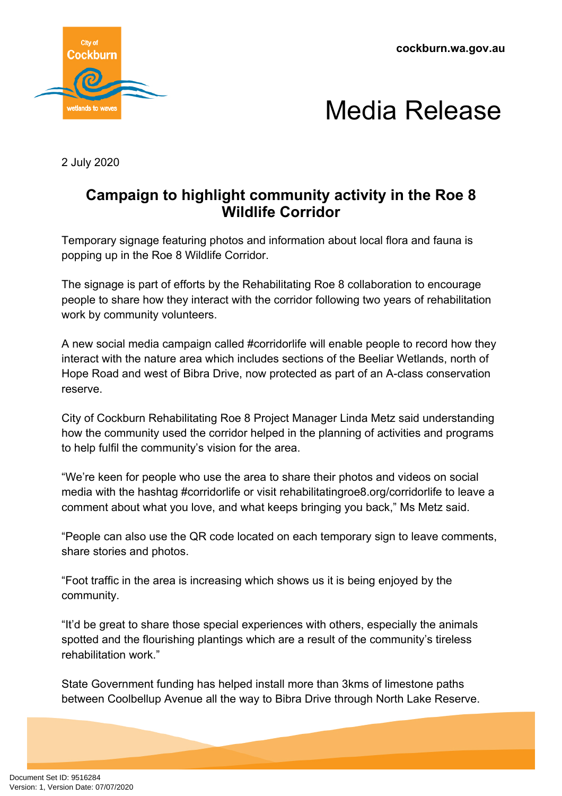**cockburn.wa.gov.au**





2 July 2020

## **Campaign to highlight community activity in the Roe 8 Wildlife Corridor**

Temporary signage featuring photos and information about local flora and fauna is popping up in the Roe 8 Wildlife Corridor.

The signage is part of efforts by the Rehabilitating Roe 8 collaboration to encourage people to share how they interact with the corridor following two years of rehabilitation work by community volunteers.

A new social media campaign called #corridorlife will enable people to record how they interact with the nature area which includes sections of the Beeliar Wetlands, north of Hope Road and west of Bibra Drive, now protected as part of an A-class conservation reserve.

City of Cockburn Rehabilitating Roe 8 Project Manager Linda Metz said understanding how the community used the corridor helped in the planning of activities and programs to help fulfil the community's vision for the area.

"We're keen for people who use the area to share their photos and videos on social media with the hashtag #corridorlife or visit rehabilitatingroe8.org/corridorlife to leave a comment about what you love, and what keeps bringing you back," Ms Metz said.

"People can also use the QR code located on each temporary sign to leave comments, share stories and photos.

"Foot traffic in the area is increasing which shows us it is being enjoyed by the community.

"It'd be great to share those special experiences with others, especially the animals spotted and the flourishing plantings which are a result of the community's tireless rehabilitation work."

State Government funding has helped install more than 3kms of limestone paths between Coolbellup Avenue all the way to Bibra Drive through North Lake Reserve.